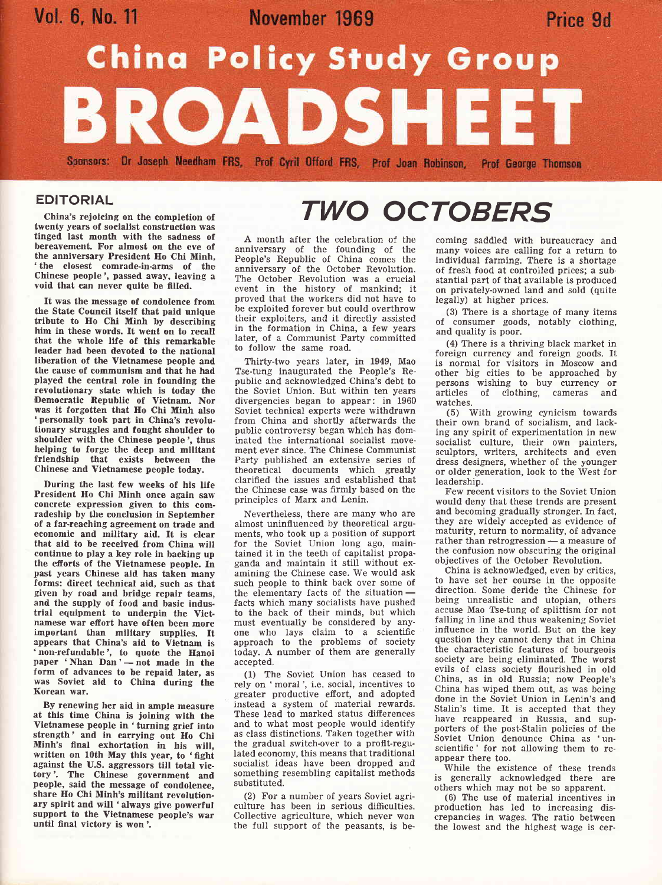

#### EDITORIAL

China's rejoicing on the completion of twenty years of socialist construction was tinged last month with the sadness of bereavement, For almost on the eve of the anniversary President Ho Chi Minh, 'the closest comrade-in-arms of the Chinese people', passed away, leaving a void that can never quite be filled.

It was the message of condolence from the State Council itself that paid unique tribute to Ho Chi Minh by describing him in these words. It went on to recall that the whole life of this remarkable leader had been devoted to the national liberation of the Vietnamese people and the cause of communism and that he had played the central role in founding the revolutionary state which is today the Democratic Republic of Vietnam. Nor was it forgotten that Ho Chi Minh also 'personally took part in China's revolutionary struggles and fought shoulder to shoulder with the Chinese people', thus helping to forge the deep and militant friendship that exists between the Chinese and Vietnamese people today.

During the last few weeks of his life President Ho Chi Minh once again saw concrete expression given to this comradeship by the conclusion in September of a far-reaching agreement on trade and economic and military aid. It is clear that aid to be received from China will continue to play a key role in backing up the efrorts of the Vietnamese people. fn past years Chinese aid has taken many forms: direct technical aid, such as that given by road and bridge repair teams,<br>and the supply of food and basic industrial equipment to underpin the Vietnamese war efrort have often been more important than military supplies. It appears that China's aid to Vietnam is 'non-refundable', to quote the Hanoi paper 'Nhan  $Dan$ '  $- not$  made in the paper **Finan Dan** – not made in the<br>form of advances to be repaid later, as was Soviet aid to China during the Korean war.

By renewing her aid in ample measure at this time China is joining with the Vletnamese people in 'turning grief into strength' and in carrying out Ho Chi Minh's final exhortation in his will, written on 10th May this year, to 'fight against the U.S. aggressors till total victory'. The Chinese government and people, said the message of condolence, share Ho Chi Minh's militant revolutionary spirit and will 'always give powerful support to the Vietnamese people's war until final victory is won'.

# TWO OCTOBERS

A month after the celebration of the anniversary of the founding of the People's Republic of China comes the anniversary of the October Revolution. The October Revolution was a crucial event in the history of mankind; it proved that the workers did not have to be exploited forever but could overthrow their exploiters, and it directly assisted in the formation in China, a few years later, of a Communist Party committed to follow the same road.

Thirty-two years later, in 1949, Mao Tse-tung inaugurated the People's Republic and acknowledged China's debt to the Soviet Union. But within ten years divergencies began to appear: in <sup>1960</sup> Soviet technical experts were withdrawn from China and shortly afterwards the public controversy began which has dominated the international socialist movement ever since. The Chinese Communist Party published an extensive series of theoretical documents which greatly clarified the issues and established that the Chinese case was firmly based on the principles of Marx and Lenin.

Nevertheless, there are many who are almost uninfluenced by theoretical arguments, who took up a position of support for the Soviet Union long ago, maintained it in the teeth of capitalist propaganda and maintain it still without examining the Chinese case. We would ask such people to think back over some of the elementary facts of the situation the elementary facts of the situation—<br>facts which many socialists have pushed to the back of their minds, but which must eventually be considered by anyone who lays claim to a scientific approach to the problems of society today. A number of them are generally accepted.

(1) The Soviet Union has ceased to rely on 'moral ', i.e. social, incentives to greater productive effort, and adopted instead a system of material rewards. These lead to marked status difierences and to what most people would identify as class distinctions. Taken together with the gradual switch-over to a proflt-regulated economy, this means that traditional socialist ideas have been dropped and something resembling capitalist methods substituted.

(2) For a number of years Soviet agriculture has been in serious difficulties. Collective agriculture, which never won the full support of the peasants, is becoming saddled with bureaucracy and many voices are calling for a return to individual farming. There is a shortage of fresh food at controlled prices; a sub. stantial part of that available is produced on privately-owned land and sold (quite legally) at higher prices.

(3) There is a shortage of many items of consumer goods, notably clothing, and quality is poor.

(4) There is a thriving black market in foreign currency and foreign goods. It is normal for visitors in Moscow and other big cities to be approached by persons wishing to buy currency or articles of clothing, cameras and

(5) With growing cynicism towards their own brand of socialism, and lacking any spirit of experimentation in new socialist culture, their own painters, sculptors, writers, architects and even dress designers, whether of the younger or older generation, look to the West for leadership.

Few recent visitors to the Soviet Union would deny that these trends are present and becoming gradually stronger. In fact, they are widely accepted as evidence of maturity, return to normality, of advance rather than retrogression — a measure of rather than retrogression — a measure of<br>the confusion now obscuring the original objectives of the October Revolution.

China is acknowledged, even by critics, to have set her course in the opposite direction. Some deride the Chinese for being unrealistic and utopian, others accuse Mao Tse-tung of splittism for not falling in line and thus weakening Soviet influence in the world. But on the key question they cannot deny that in China the characteristic features of bourgeois society are being eliminated. The worst evils of class society flourished in old China, as in old Russia; now People's China has wiped them out, as was being done in the Soviet Union in Lenin's and Stalin's time. It is accepted that they have reappeared in Russia, and supporters of the post-Stalin policies of the Soviet Union denounce China as 'unscientific' for not allowing them to reappear there too.

While the existence of these trends generally acknowledged there are others which may not be so apparent.

(6) The use of material incentives in production has led to increasing discrepancies in wages. The ratio between the lowest and the highest wage is cer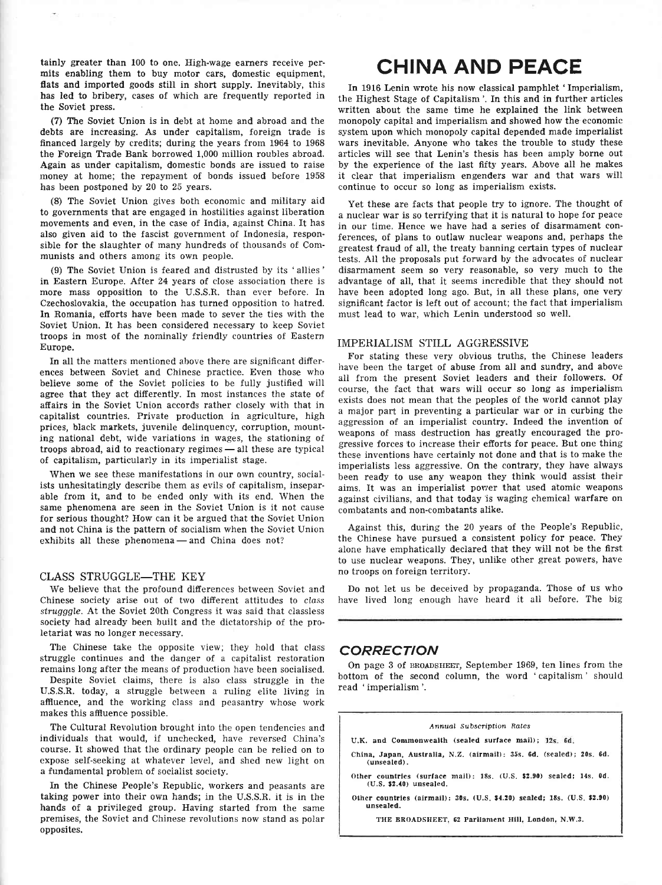tainly greater than 100 to one, High-wage earners receive permits enabling them to buy motor cars, domestic equipment, flats and imported goods still in short supply. Inevitably, this has led to bribery, cases of which are frequently reported in the Soviet press.

(7) The Soviet Union is in debt at home and abroad and the debts are increasing. As under capitalism, foreign trade is financed largely by credits; during the years from 1964 to 1968 the Foreign Trade Bank borrowed 1,000 million roubles abroad. Again as under capitalism, domestic bonds are issued to raise money at home; the repayment of bonds issued before <sup>1958</sup> has been postponed by 20 to 25 years.

(8) The Soviet Union gives both economic and military aid to governments that are engaged in hostilities against liberation movements and even, in the case of India, against China. It has also given aid to the fascist government of Indonesia, responsible for the slaughter of many hundreds of thousands of Communists and others among its own peopie.

(9) The Soviet Union is feared and distrusted by its 'allies' in Eastern Europe. After 24 years of close association there is more mass opposition to the U.S.S.R. than ever before. In Czechoslovakia, the occupation has turned opposition to hatred. In Romania, efforts have been made to sever the ties with the Soviet Union. It has been considered necessary to keep Soviet troops in most of the nominally friendly countries of Eastern Europe.

In all the matters mentioned above there are significant differences between Soviet and Chinese practice. Even those who believe some of the Soviet policies to be fully justified will agree that they act differently. In most instances the state of aftairs in the Soviet Union accords rather closely with that in capitalist countries. Private production in agriculture, high prices, black markets, juvenile delinquency, corruption, mounting national debt, wide variations in wages, the stationing of troops abroad, aid to reactionary regimes all these are typical rroops abroad, ald to reactionary regimes — all the<br>of capitalism, particularly in its imperialist stage.

When we see these manifestations in our own country, socialists unhesitatingly describe them as evils of capitalism, inseparable from it, and to be ended only with its end. When the same phenomena are seen in the Soviet Union is it not cause for serious thought? How can it be argued that the Soviet Union and not China is the pattern of socialism when the Soviet Union exhibits all these phenomena — and China does not?

#### CLASS STRUGGLE-THE KEY

We believe that the profound differences between Soviet and Chinese society arise out of two different attitudes to class strugggle. At the Soviet 20th Congress it was said that classless society had already been built and the dictatorship of the proletariat was no longer necessary.

The Chinese take the opposite view; they hold that class struggle continues and the danger of a capitalist restoration remains long after the means of production have been socialised.

Despite Soviet claims, there is also class struggle in the U.S.S.R. today, a struggle between a ruling elite living in affiuence, and the working class and peasantry whose work makes this affluence possible.

The Cultural Revolution brought into the open tendencies and individuals that would, if unchecked, have reversed China's course. It showed that the ordinary people can be relied on to expose self-seeking at whatever level, and shed new light on a fundamental problem of socialist society.

In the Chinese People's Republic, workers and peasants are taking power into their own hands; in the U.S.S.R. it is in the hands of a privileged group. Having started from the same premises, the Soviet and Chinese revolutions now stand as polar opposites.

## CHINA AND PEACE

In 1916 Lenin wrote his now classical pamphlet 'Imperialism, the Highest Stage of Capitalism'. In this and in further articles written about the same time he explained the link between monopoly capital and imperialism and showed how the economic system upon which monopoly capital depended made imperialist wars inevitable. Anyone who takes the trouble to study these articles will see that Lenin's thesis has been amply borne out by the experience of the last fifty years. Above all he makes it clear that imperialism engenders war and that wars will continue to occur so long as imperialism exists.

Yet these are facts that people try to ignore. The thought of a nuclear war is so terrifying that it is natural to hope for peace in our time. Hence we have had a series of disarmament conferences, of plans to outlaw nuclear weapons and, perhaps the greatest fraud of all, the treaty banning certain types of nuclear tests. AII the proposals put forward by the advocates of nuclear disarmament seem so very reasonable, so very much to the advantage of all, that it seems incredible that they should not have been adopted long ago. But, in all these plans, one very significant factor is left out of account; the fact that imperialism must lead to war, which Lenin understood so well.

#### IMPERIALISM STILL AGGRESSIVE

For stating these very obvious truths, the Chinese leaders have been the target of abuse from all and sundry, and above all from the present Soviet leaders and their followers. Of course, the fact that wars wiII occur so long as imperialism exists does not mean that the peoples of the world cannot play a major part in preventing a particular war or in curbing the aggression of an imperialist country. Indeed the invention of weapons of mass destruction has greatly encouraged the progressive forces to increase their efforts for peace. But one thing these inventions have certainly not done and that is to make the imperialists less aggressive. On the contrary, they have always been ready to use any weapon they think would assist their aims. It was an imperialist pover that used atomic weapons against civilians, and that today 'is waging chemical warfare on combatants and non-combatants alike.

Against this, during the 20 years of the People's Republic, the Chinese have pursued a consistent policy for peace. They alone have emphatically declared that they will not be the first to use nuclear weapons. They, unlike other great powers, have no troops on foreign territory.

Do not Iet us be deceived by propaganda. Those of us who have lived long enough have heard it all before. The big

#### CORRECTION

On page 3 of BROADSHEET, September 1969, ten lines from the bottom of the second column, the word 'capitalism' should read 'imperialism'.

#### Annual Subscription Rates

- U.K. and Commonwealth (sealed surface mail); 12s. 6d.
- China, Japan, Austratia, N.Z. (airmail): 35s. 6d. (sealed); 20s. 6d.  $(unsealed)$ .
- Other countrles (surface mail): 18s. (U.S. \$2.90) sealed; 14s. 0d. (U.S, 52.40) unsealed.
- Other countries  $(airmail): 30s. (U.S. $4.20) scaled: 18s. (U.S. $2.90)$ unsealed.

THE BROADSHEET, 62 Parliament Hill, London, N.W.3.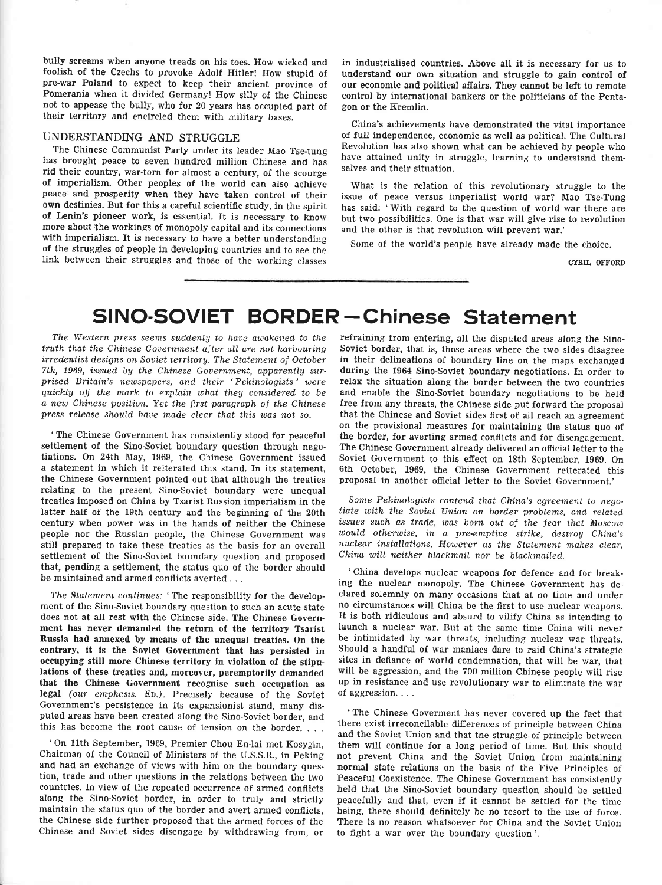bully screams when anyone treads on his toes. How wicked and foolish of the Czechs to provoke Adolf Hiiler! How stupid of pre-war Poland to expect to keep their ancient province of Pomerania when it divided Germanyl How silly of the Chinese not to appease the bully, who for 20 years has occupied part of their territory and encircled them with military bases.

#### UNDERSTANDING AND STRUGGLE

The Chinese Communist Party under its leader Mao Tse-tung has brought peace to seven hundred million Chinese and has rid their country, war-torn for almost a century, of the scourge of imperialism. Other peoples of the world can also achieve peace and prosperity when they have taken control of their own destinies. But for this a careful scientific study, in the spirit of Lenin's pioneer work, is essential. It is necessary to know more about the workings of monopoly capital and its connections with imperialism. It is necessary to have a better understanding of the struggles of people in developing countries and to see the link between their struggles and those of the working classes

in industrialised countries. Above all it is necessary for us to understand our own situation and struggle to gain control of our economie and political affairs. They cannot be left to remote control by international bankers or the politicians of the Pentagon or the Kremlin.

China's achievements have demonstrated the vital importance of full independence, economic as well as political. The Cultural Revolution has also shown what can be achieved by people who have attained unity in struggle, learning to understand themselves and their situation.

What is the relation of this revolutionary struggle to the issue of peace versus imperialist world war? Mao Tse-Tung has said: 'With regard to the question of world war there are but two possibilities. One is that war will give rise to revolution and the other is that revolution will prevent war.'

Some of the world's people have already made the choice.

CYRIL OFFORD

### SINO-SOVIET BORDER-Chinese Statement

The Western press seems suddenly to have awakened to the truth that the Chinese Government after all are not harbouring irredentist designs on Soviet territory. The Statement of October 7th, 1969, issued by the Chinese Government, apparently surprised Britain's newspapers, and their 'Pekinologists' were quickly off the mark to explain what they considered to be a new Chinese position. Yet the first paragraph of the Chinese press release should haue made clear that this was not so.

'The Chinese Government has consistently stood for peaceful settlement of the Sino-Soviet boundary question through negotiations. On 24th May, 1969, the Chinese Government issued a statement in which it reiterated this stand. In its statement, the Chinese Government pointed out that although the treaties relating to the present Sino-Soviet boundary were unequal treaties imposed on China by Tsarist Russion imperialism in the latter half of the 19th century and the beginning of the 20th century when power was in the hands of neither the Chinese people nor the Russian people, the Chinese Government was still prepared to take these treaties as the basis for an overall settlement of the Sino-Soviet boundary question and proposed that, pending a settlement, the status quo of the border should be maintained and armed conflicts averted . . .

The Statement continues: 'The responsibility for the development of the Sino-Soviet boundary question to such an acute state does not at all rest with the Chinese side. The Chinese Government has never demanded the return of the territory Tsarist Russia had annexed by means of the unequal treaties. On the contrary, it is the Soviet Government that has persisted in occupying still more Chinese territory in violation of the stipu-Iations of these treaties and, moreover, peremptorily demanded that the Chinese Government recognise such occupation as legal (our emphasis. En.). Precisely because of the Soviet Government's persistence in its expansionist stand, many disputed areas have been created along the Sino-Soviet border, and this has become the root cause of tension on the border. . . .

'On llth September, 1969, Premier Chou En-lai met Kosygin, Chairman of the Council of Ministers of the U.S.S.R., in Peking and had an exchange of views with him on the boundary question, trade and other questions in the relations between the two countries. In view of the repeated occurrence of armed conflicts along the Sino-Soviet border, in order to truly and strictly maintain the status quo of the border and avert armed conflicts, the Chinese side further proposed that the armed forces of the Chinese and Soviet sides disengage by withdrawing from, or

refraining from entering, all the disputed areas along the Sino-Soviet border, that is, those areas where the two sides disagree in their delineations of boundary line on the maps exchanged during the 1964 Sino-soviet boundary negotiations. fn order to relax the situation along the border between the two countries and enable the Sino-Soviet boundary negotiations to be held free from any threats, the Chinese side put forward the proposal that the Chinese and Soviet sides first of all reach an agreement on the provisional measures for maintaining the status quo of the border, for averting armed conflicts and for disengagement, The Chinese Government already delivered an official letter to the Soviet Government to this effect on 18th September, 1969. On 6th October, 1969, the Chinese Government reiterated this proposal in another official letter to the Soviet Government.'

Some Pekinologists contend that China's agreement to negotiate with the Soviet Union on border problems, and related issues such as trade, was born out of the fear that Moscow would otherwise, in a pre-emptive strike, destroy China's nuclear installations. However as the Statement makes clear, China will neither blackmail nor be blackmailed.

'China develops nuclear weapons for defence and for breaking the nuclear monopoly. The Chinese Government has declared solemnly on many occasions that at no time and under no circumstances will China be the first to use nuclear weapons. It is both ridiculous and absurd to vilify China as intending to launch a nuclear war. But at the same time China will never be intimidated by war threats, including nuclear war threats. Should a handful of war maniacs dare to raid China's strategic sites in defiance of world condemnation, that will be war, that will be aggression, and the 700 million Chinese people will rise up in resistance and use revolutionary war to eliminate the war of aggression....

'The Chinese Goverment has never covered up the fact that there exist irreconcilable differences of principle between China and the Soviet Union and that the struggle of principle between them will continue for a long period of time. But this should not prevent China and the Soviet Union from maintaining normal state relations on the basis of the Five Principles of Peaceful Coexistence. The Chinese Government has consistently held that the Sino-Soviet boundary question should be setfled peacefully and that, even if it cannot be settled for the time being, there should definitely be no resort to the use of force. There is no reason whatsoever for China and the Soviet Union to fight a war over the boundary question'.